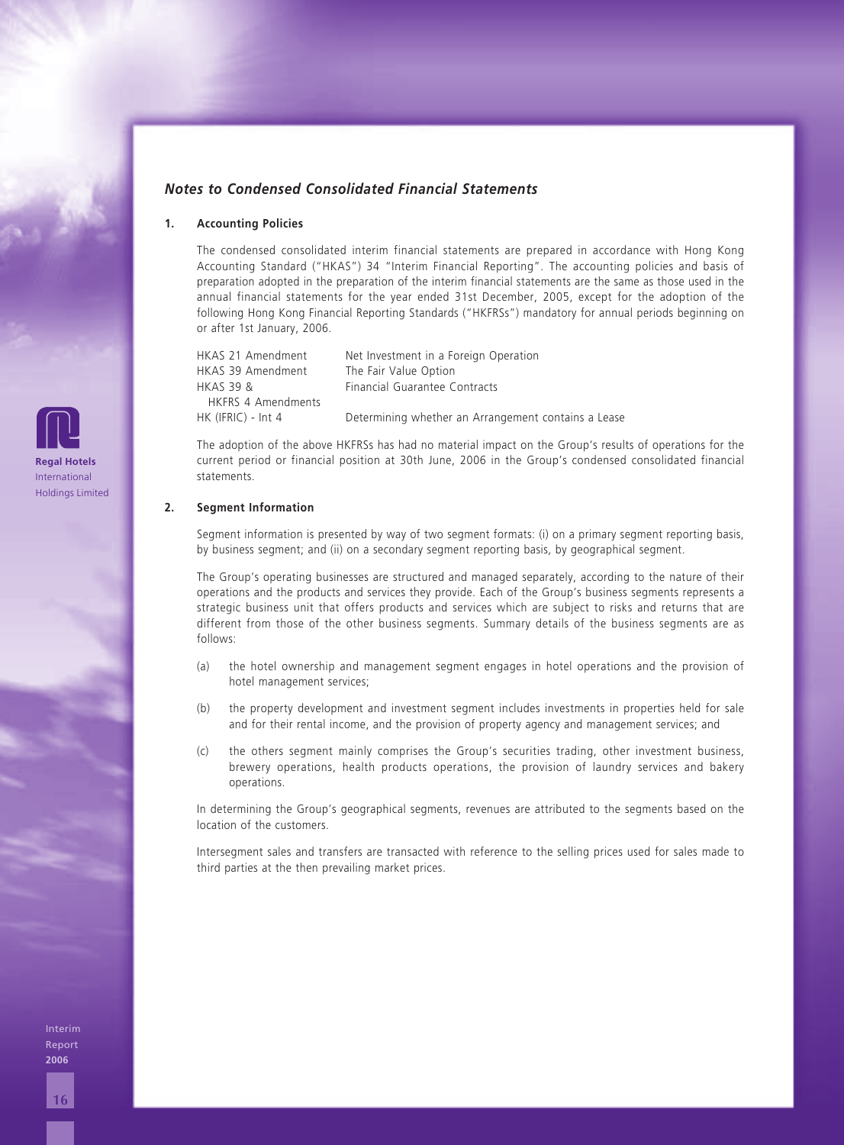## *Notes to Condensed Consolidated Financial Statements*

#### **1. Accounting Policies**

The condensed consolidated interim financial statements are prepared in accordance with Hong Kong Accounting Standard ("HKAS") 34 "Interim Financial Reporting". The accounting policies and basis of preparation adopted in the preparation of the interim financial statements are the same as those used in the annual financial statements for the year ended 31st December, 2005, except for the adoption of the following Hong Kong Financial Reporting Standards ("HKFRSs") mandatory for annual periods beginning on or after 1st January, 2006.

| Net Investment in a Foreign Operation               |
|-----------------------------------------------------|
| The Fair Value Option                               |
| Financial Guarantee Contracts                       |
|                                                     |
| Determining whether an Arrangement contains a Lease |
|                                                     |

The adoption of the above HKFRSs has had no material impact on the Group's results of operations for the current period or financial position at 30th June, 2006 in the Group's condensed consolidated financial statements.

#### **2. Segment Information**

Segment information is presented by way of two segment formats: (i) on a primary segment reporting basis, by business segment; and (ii) on a secondary segment reporting basis, by geographical segment.

The Group's operating businesses are structured and managed separately, according to the nature of their operations and the products and services they provide. Each of the Group's business segments represents a strategic business unit that offers products and services which are subject to risks and returns that are different from those of the other business segments. Summary details of the business segments are as follows:

- (a) the hotel ownership and management segment engages in hotel operations and the provision of hotel management services;
- (b) the property development and investment segment includes investments in properties held for sale and for their rental income, and the provision of property agency and management services; and
- (c) the others segment mainly comprises the Group's securities trading, other investment business, brewery operations, health products operations, the provision of laundry services and bakery operations.

In determining the Group's geographical segments, revenues are attributed to the segments based on the location of the customers.

Intersegment sales and transfers are transacted with reference to the selling prices used for sales made to third parties at the then prevailing market prices.

**Regal Hotels** International Holdings Limited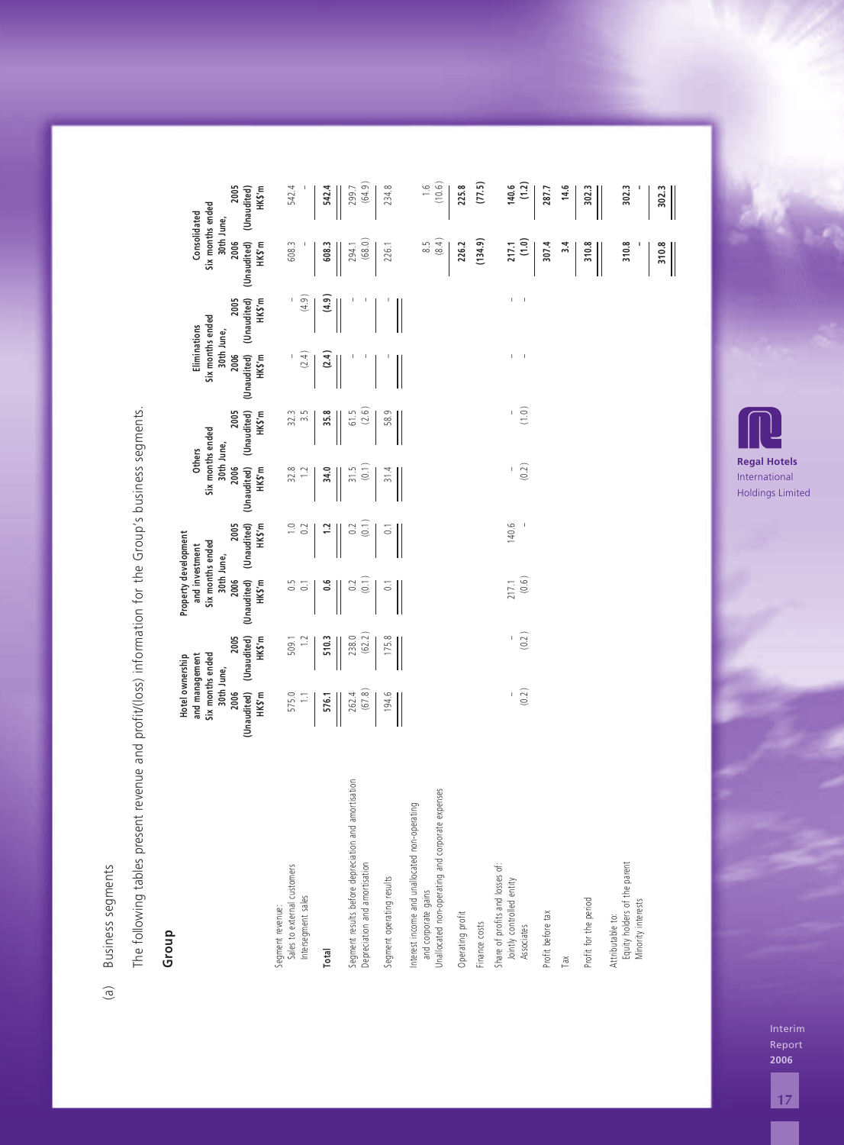# **Group**

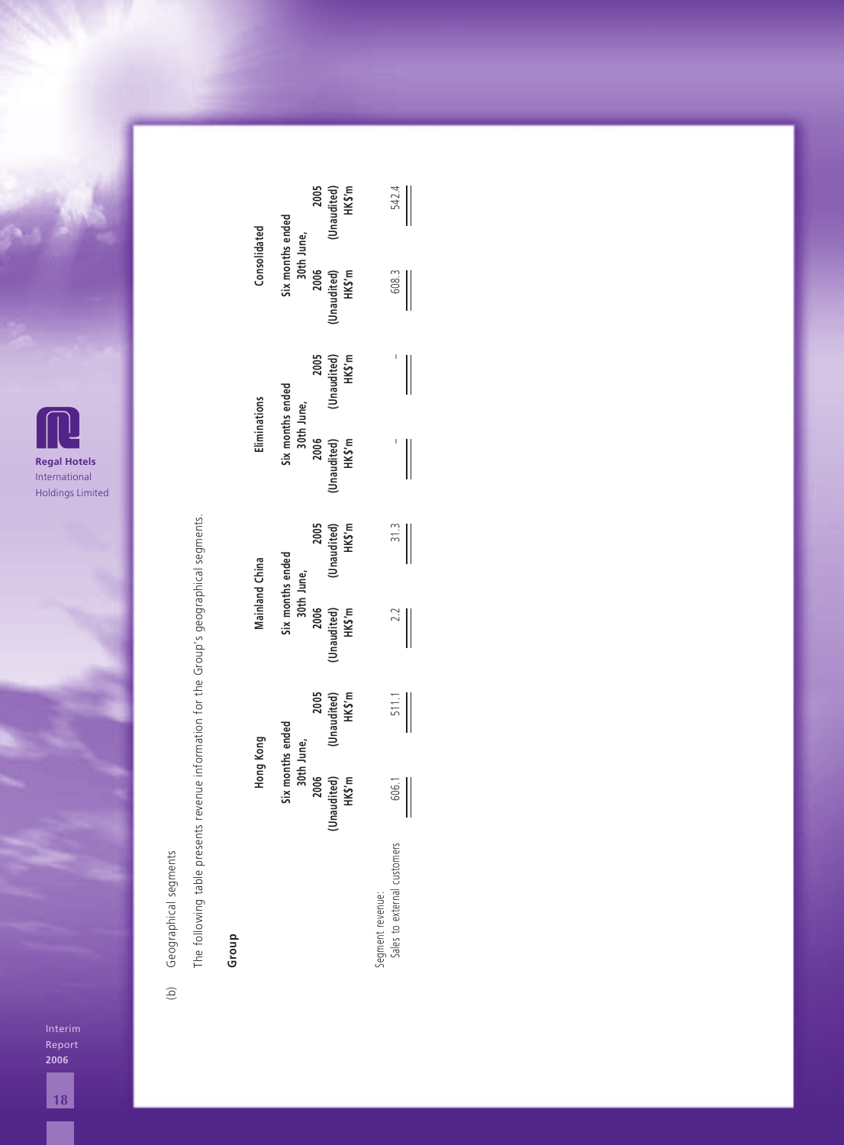

Geographical segments (b) Geographical segments  $\widehat{\Theta}$ 

The following table presents revenue information for the Group's geographical segments. The following table presents revenue information for the Group's geographical segments.

## **Group**

| Six months ended<br>30th June,<br>Consolidated   |                                | 2005<br>(Unaudited)<br>HK\$ʻm |                               | 542.4           |                                                        |             |
|--------------------------------------------------|--------------------------------|-------------------------------|-------------------------------|-----------------|--------------------------------------------------------|-------------|
|                                                  |                                |                               | 2006<br>(Unaudited)<br>HK\$'m |                 | 608.3                                                  |             |
|                                                  |                                |                               | 2005<br>(Unaudited)<br>HK\$'m |                 |                                                        | $\parallel$ |
| Six months ended<br>30th June,<br>Eliminations   |                                | 2006<br>(Unaudited)<br>HK\$'m |                               |                 |                                                        |             |
| Six months ended<br>30th June,<br>Mainland China |                                |                               | 2005<br>(Unaudited)<br>HK\$'m |                 | 31.3                                                   | $\parallel$ |
|                                                  |                                | 2006<br>Unaudited)<br>HK\$'m  |                               | 2.2             |                                                        |             |
|                                                  |                                |                               | 2005<br>(Unaudited)<br>HK\$'m |                 | $\frac{511.1}{2}$                                      |             |
| Hong Kong                                        | Six months ended<br>30th June, | 2006                          | (Unaudited)<br>HK\$'m         |                 | $\begin{array}{c} 606.1 \\ 0 \\ 0 \\ 0 \\ \end{array}$ |             |
|                                                  |                                |                               |                               | egment revenue: | iales to external customers                            |             |

Report **2006**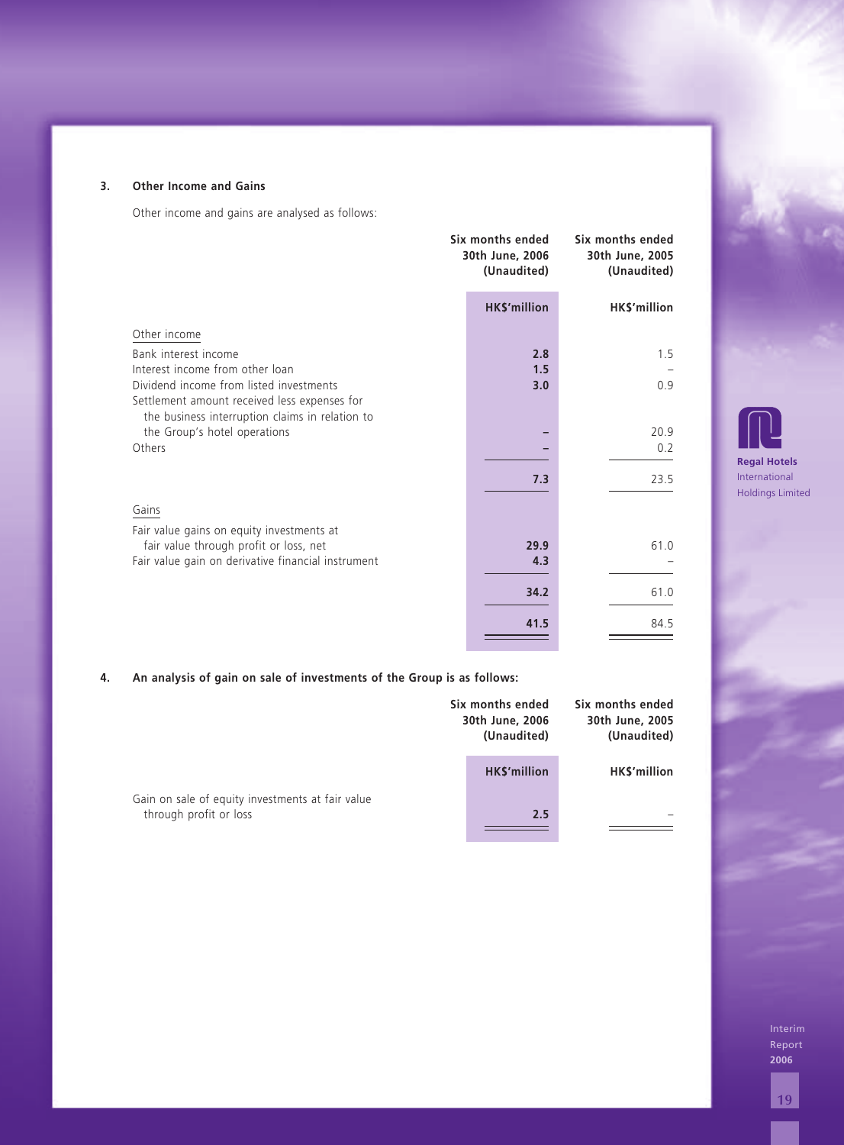| <b>Other Income and Gains</b>                                                                                              |                                                    |                                                    |                                    |
|----------------------------------------------------------------------------------------------------------------------------|----------------------------------------------------|----------------------------------------------------|------------------------------------|
| Other income and gains are analysed as follows:                                                                            |                                                    |                                                    |                                    |
|                                                                                                                            | Six months ended<br>30th June, 2006<br>(Unaudited) | Six months ended<br>30th June, 2005<br>(Unaudited) |                                    |
|                                                                                                                            | HK\$'million                                       | HK\$'million                                       |                                    |
| Other income                                                                                                               |                                                    |                                                    |                                    |
| Bank interest income                                                                                                       | 2.8                                                | 1.5                                                |                                    |
| Interest income from other loan<br>Dividend income from listed investments<br>Settlement amount received less expenses for | 1.5<br>3.0                                         | 0.9                                                |                                    |
| the business interruption claims in relation to<br>the Group's hotel operations                                            |                                                    | 20.9                                               |                                    |
| Others                                                                                                                     |                                                    | 0.2                                                |                                    |
|                                                                                                                            | 7.3                                                | 23.5                                               | <b>Regal Hotel</b><br>Internationa |
| Gains                                                                                                                      |                                                    |                                                    | <b>Holdings Lin</b>                |
| Fair value gains on equity investments at                                                                                  |                                                    |                                                    |                                    |
| fair value through profit or loss, net                                                                                     | 29.9                                               | 61.0                                               |                                    |
| Fair value gain on derivative financial instrument                                                                         | 4.3                                                |                                                    |                                    |
|                                                                                                                            | 34.2                                               | 61.0                                               |                                    |
|                                                                                                                            | 41.5                                               | 84.5                                               |                                    |
| An analysis of gain on sale of investments of the Group is as follows:                                                     | Six months ended<br>30th June, 2006<br>(Unaudited) | Six months ended<br>30th June, 2005<br>(Unaudited) |                                    |
|                                                                                                                            | HK\$'million                                       | HK\$'million                                       |                                    |
| Gain on sale of equity investments at fair value<br>through profit or loss                                                 | 2.5                                                |                                                    |                                    |
|                                                                                                                            |                                                    |                                                    |                                    |
|                                                                                                                            |                                                    |                                                    | Inter                              |
|                                                                                                                            |                                                    |                                                    | Repo<br>2006                       |
|                                                                                                                            |                                                    |                                                    | 19                                 |

## **4. An analysis of gain on sale of investments of the Group is as follows:**

|                                                                            | Six months ended<br>30th June, 2006<br>(Unaudited) | Six months ended<br>30th June, 2005<br>(Unaudited) |  |
|----------------------------------------------------------------------------|----------------------------------------------------|----------------------------------------------------|--|
|                                                                            | <b>HKS'million</b>                                 | HK\$'million                                       |  |
| Gain on sale of equity investments at fair value<br>through profit or loss | 2.5                                                |                                                    |  |



Report **2006**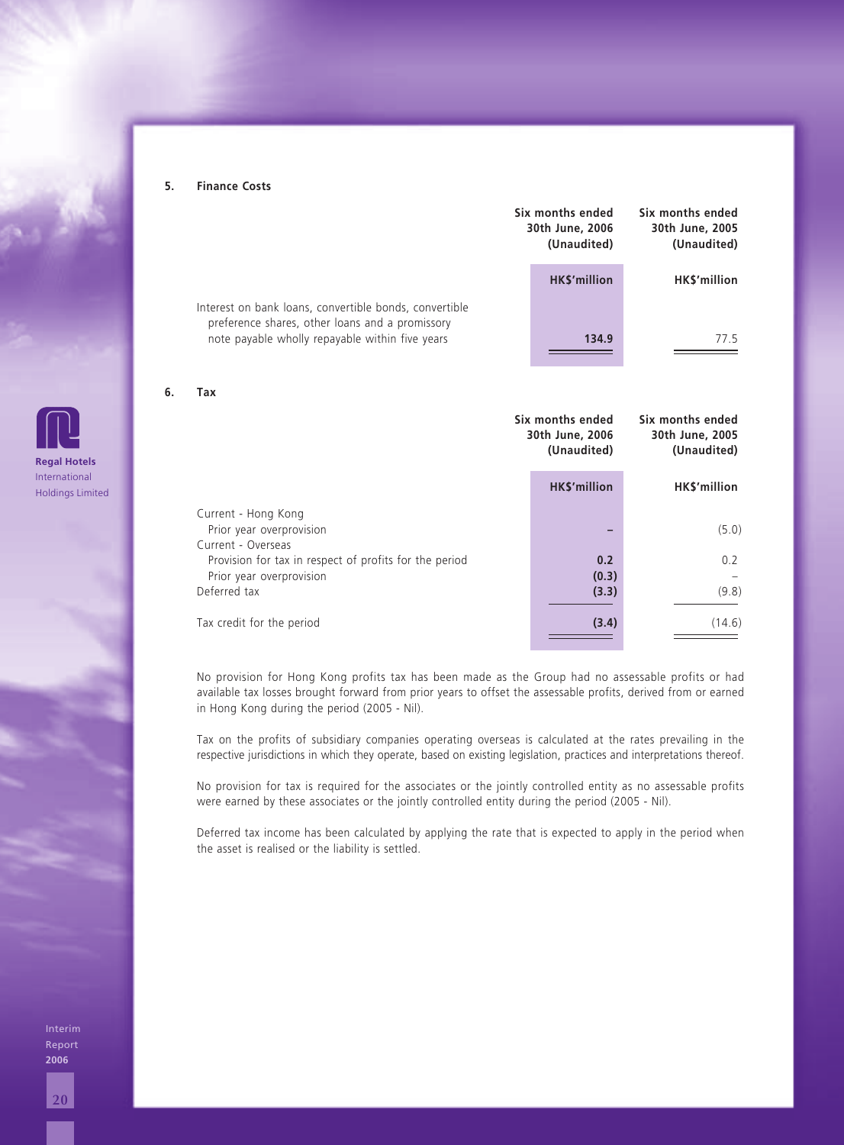#### **5. Finance Costs**

|                                                                                                           | Six months ended<br>30th June, 2006<br>(Unaudited) | Six months ended<br>30th June, 2005<br>(Unaudited) |
|-----------------------------------------------------------------------------------------------------------|----------------------------------------------------|----------------------------------------------------|
|                                                                                                           | <b>HKS'million</b>                                 | <b>HKS'million</b>                                 |
| Interest on bank loans, convertible bonds, convertible<br>preference shares, other loans and a promissory |                                                    |                                                    |
| note payable wholly repayable within five years                                                           | 134.9                                              | 775                                                |

#### **6. Tax**

|                                                                                                    | Six months ended<br>30th June, 2006<br>(Unaudited) | Six months ended<br>30th June, 2005<br>(Unaudited) |  |
|----------------------------------------------------------------------------------------------------|----------------------------------------------------|----------------------------------------------------|--|
|                                                                                                    | <b>HKS'million</b>                                 | <b>HKS'million</b>                                 |  |
| Current - Hong Kong<br>Prior year overprovision<br>Current - Overseas                              |                                                    | (5.0)                                              |  |
| Provision for tax in respect of profits for the period<br>Prior year overprovision<br>Deferred tax | 0.2<br>(0.3)<br>(3.3)                              | 0.2<br>(9.8)                                       |  |
| Tax credit for the period                                                                          | (3.4)                                              | (14.6)                                             |  |

No provision for Hong Kong profits tax has been made as the Group had no assessable profits or had available tax losses brought forward from prior years to offset the assessable profits, derived from or earned in Hong Kong during the period (2005 - Nil).

Tax on the profits of subsidiary companies operating overseas is calculated at the rates prevailing in the respective jurisdictions in which they operate, based on existing legislation, practices and interpretations thereof.

No provision for tax is required for the associates or the jointly controlled entity as no assessable profits were earned by these associates or the jointly controlled entity during the period (2005 - Nil).

Deferred tax income has been calculated by applying the rate that is expected to apply in the period when the asset is realised or the liability is settled.

Interim Report **2006**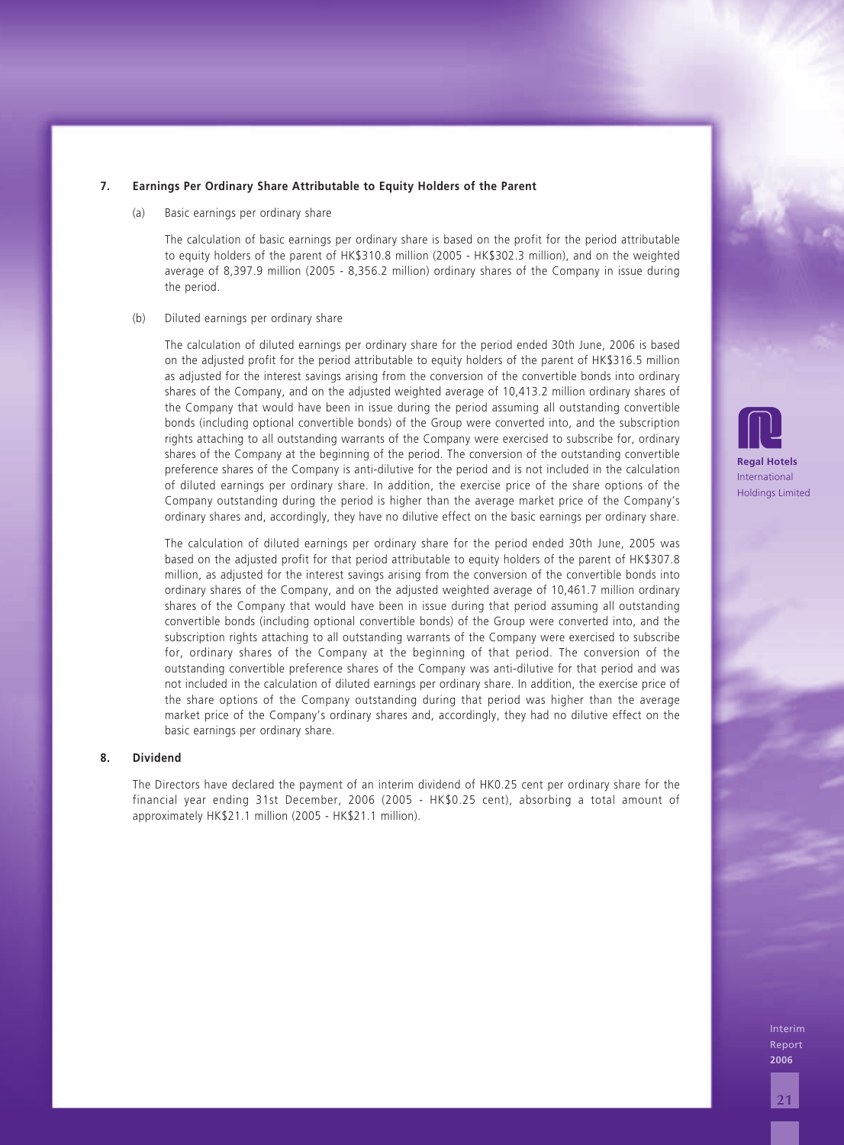(a) Basic earnings per ordinary share

The calculation of basic earnings per ordinary share is based on the profit for the period attributable to equity holders of the parent of HK\$310.8 million (2005 - HK\$302.3 million), and on the weighted average of 8,397.9 million (2005 - 8,356.2 million) ordinary shares of the Company in issue during the period.

#### (b) Diluted earnings per ordinary share

The calculation of diluted earnings per ordinary share for the period ended 30th June, 2006 is based on the adjusted profit for the period attributable to equity holders of the parent of HK\$316.5 million as adjusted for the interest savings arising from the conversion of the convertible bonds into ordinary shares of the Company, and on the adjusted weighted average of 10,413.2 million ordinary shares of the Company that would have been in issue during the period assuming all outstanding convertible bonds (including optional convertible bonds) of the Group were converted into, and the subscription rights attaching to all outstanding warrants of the Company were exercised to subscribe for, ordinary shares of the Company at the beginning of the period. The conversion of the outstanding convertible preference shares of the Company is anti-dilutive for the period and is not included in the calculation of diluted earnings per ordinary share. In addition, the exercise price of the share options of the Company outstanding during the period is higher than the average market price of the Company's ordinary shares and, accordingly, they have no dilutive effect on the basic earnings per ordinary share.

**217. Earnings Per Ordinary Share Attributable to Equity Holders of the Parent** The calculation of diluted earnings per ordinary share for the period ended 30th June, 2005 was based on the adjusted profit for that period attributable to equity holders of the parent of HK\$307.8 million, as adjusted for the interest savings arising from the conversion of the convertible bonds into ordinary shares of the Company, and on the adjusted weighted average of 10,461.7 million ordinary shares of the Company that would have been in issue during that period assuming all outstanding convertible bonds (including optional convertible bonds) of the Group were converted into, and the subscription rights attaching to all outstanding warrants of the Company were exercised to subscribe for, ordinary shares of the Company at the beginning of that period. The conversion of the outstanding convertible preference shares of the Company was anti-dilutive for that period and was not included in the calculation of diluted earnings per ordinary share. In addition, the exercise price of the share options of the Company outstanding during that period was higher than the average market price of the Company's ordinary shares and, accordingly, they had no dilutive effect on the basic earnings per ordinary share.

#### **8. Dividend**

The Directors have declared the payment of an interim dividend of HK0.25 cent per ordinary share for the financial year ending 31st December, 2006 (2005 - HK\$0.25 cent), absorbing a total amount of approximately HK\$21.1 million (2005 - HK\$21.1 million).

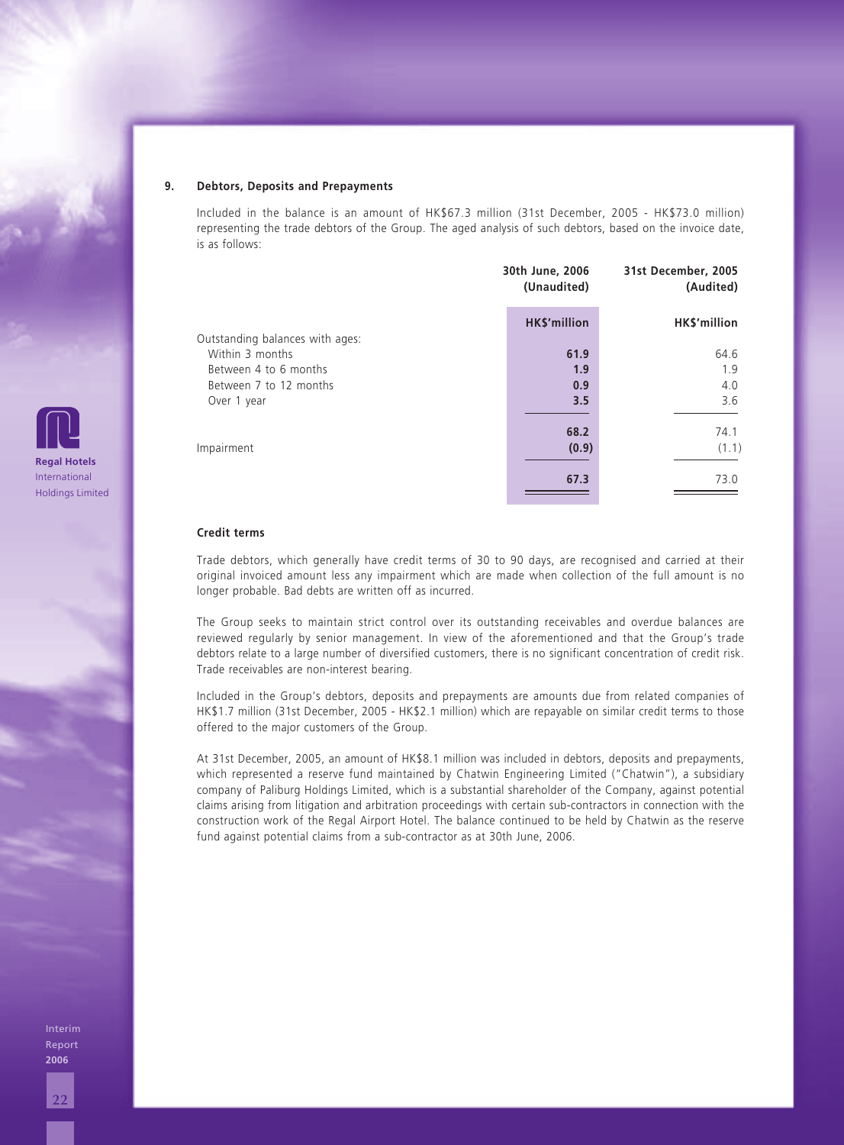#### **9. Debtors, Deposits and Prepayments**

Included in the balance is an amount of HK\$67.3 million (31st December, 2005 - HK\$73.0 million) representing the trade debtors of the Group. The aged analysis of such debtors, based on the invoice date, is as follows:

|                                 | 30th June, 2006<br>(Unaudited) | 31st December, 2005<br>(Audited) |
|---------------------------------|--------------------------------|----------------------------------|
| Outstanding balances with ages: | <b>HK\$'million</b>            | HK\$'million                     |
| Within 3 months                 | 61.9                           | 64.6                             |
| Between 4 to 6 months           | 1.9                            | 1.9                              |
| Between 7 to 12 months          | 0.9                            | 4.0                              |
|                                 | 3.5                            | 3.6                              |
|                                 | 68.2                           | 74.1                             |
|                                 | (0.9)                          | (1.1)                            |
|                                 | 67.3                           | 73.0                             |
|                                 |                                |                                  |

#### **Credit terms**

Trade debtors, which generally have credit terms of 30 to 90 days, are recognised and carried at their original invoiced amount less any impairment which are made when collection of the full amount is no longer probable. Bad debts are written off as incurred.

The Group seeks to maintain strict control over its outstanding receivables and overdue balances are reviewed regularly by senior management. In view of the aforementioned and that the Group's trade debtors relate to a large number of diversified customers, there is no significant concentration of credit risk. Trade receivables are non-interest bearing.

Included in the Group's debtors, deposits and prepayments are amounts due from related companies of HK\$1.7 million (31st December, 2005 - HK\$2.1 million) which are repayable on similar credit terms to those offered to the major customers of the Group.

At 31st December, 2005, an amount of HK\$8.1 million was included in debtors, deposits and prepayments, which represented a reserve fund maintained by Chatwin Engineering Limited ("Chatwin"), a subsidiary company of Paliburg Holdings Limited, which is a substantial shareholder of the Company, against potential claims arising from litigation and arbitration proceedings with certain sub-contractors in connection with the construction work of the Regal Airport Hotel. The balance continued to be held by Chatwin as the reserve fund against potential claims from a sub-contractor as at 30th June, 2006.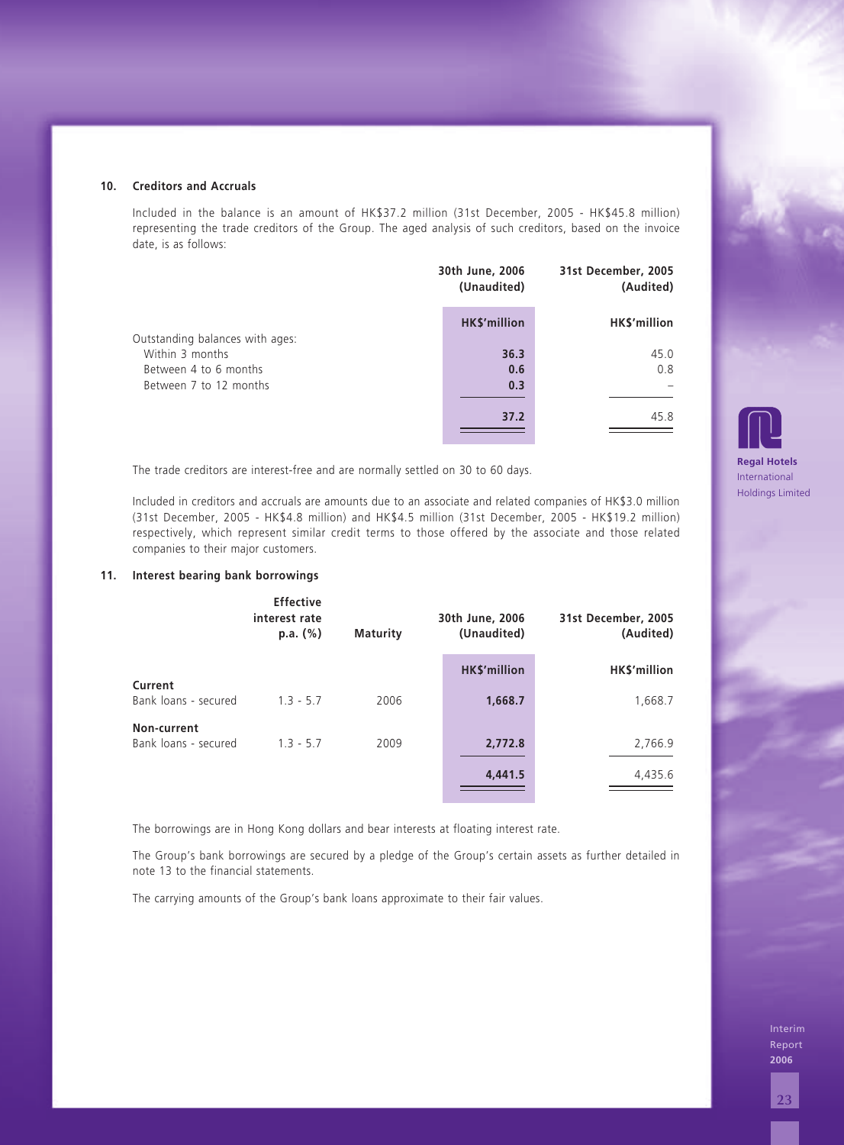|                                 | 30th June, 2006<br>(Unaudited) | 31st December, 2005<br>(Audited) |
|---------------------------------|--------------------------------|----------------------------------|
| Outstanding balances with ages: | <b>HK\$'million</b>            | HK\$'million                     |
| Within 3 months                 | 36.3                           | 45.0                             |
| Between 4 to 6 months           | 0.6                            | 0.8                              |
| Between 7 to 12 months          | 0.3                            |                                  |
|                                 | 37.2                           | 45.8                             |

### **11. Interest bearing bank borrowings**

| date, is as follows:            |                                               |                                                                                                                                                                                                                                                              |                                |                                                                                                                       |                                                                                                                                                                                                                                                                                                                                                                                                                                                                                                                                                                                                                                                                                                                                                                                                                                                                       |
|---------------------------------|-----------------------------------------------|--------------------------------------------------------------------------------------------------------------------------------------------------------------------------------------------------------------------------------------------------------------|--------------------------------|-----------------------------------------------------------------------------------------------------------------------|-----------------------------------------------------------------------------------------------------------------------------------------------------------------------------------------------------------------------------------------------------------------------------------------------------------------------------------------------------------------------------------------------------------------------------------------------------------------------------------------------------------------------------------------------------------------------------------------------------------------------------------------------------------------------------------------------------------------------------------------------------------------------------------------------------------------------------------------------------------------------|
|                                 |                                               |                                                                                                                                                                                                                                                              | 30th June, 2006<br>(Unaudited) | 31st December, 2005<br>(Audited)                                                                                      |                                                                                                                                                                                                                                                                                                                                                                                                                                                                                                                                                                                                                                                                                                                                                                                                                                                                       |
|                                 |                                               |                                                                                                                                                                                                                                                              | HK\$'million                   | HK\$'million                                                                                                          |                                                                                                                                                                                                                                                                                                                                                                                                                                                                                                                                                                                                                                                                                                                                                                                                                                                                       |
| Within 3 months                 |                                               |                                                                                                                                                                                                                                                              | 36.3                           | 45.0                                                                                                                  |                                                                                                                                                                                                                                                                                                                                                                                                                                                                                                                                                                                                                                                                                                                                                                                                                                                                       |
|                                 |                                               |                                                                                                                                                                                                                                                              | 0.6                            | 0.8                                                                                                                   |                                                                                                                                                                                                                                                                                                                                                                                                                                                                                                                                                                                                                                                                                                                                                                                                                                                                       |
|                                 |                                               |                                                                                                                                                                                                                                                              |                                |                                                                                                                       |                                                                                                                                                                                                                                                                                                                                                                                                                                                                                                                                                                                                                                                                                                                                                                                                                                                                       |
|                                 |                                               |                                                                                                                                                                                                                                                              |                                |                                                                                                                       |                                                                                                                                                                                                                                                                                                                                                                                                                                                                                                                                                                                                                                                                                                                                                                                                                                                                       |
|                                 |                                               |                                                                                                                                                                                                                                                              |                                |                                                                                                                       | <b>Regal Hotel</b><br>Internationa                                                                                                                                                                                                                                                                                                                                                                                                                                                                                                                                                                                                                                                                                                                                                                                                                                    |
|                                 |                                               |                                                                                                                                                                                                                                                              |                                |                                                                                                                       | <b>Holdings Lim</b>                                                                                                                                                                                                                                                                                                                                                                                                                                                                                                                                                                                                                                                                                                                                                                                                                                                   |
|                                 |                                               |                                                                                                                                                                                                                                                              |                                |                                                                                                                       |                                                                                                                                                                                                                                                                                                                                                                                                                                                                                                                                                                                                                                                                                                                                                                                                                                                                       |
|                                 | <b>Effective</b><br>interest rate<br>p.a. (%) | <b>Maturity</b>                                                                                                                                                                                                                                              | 30th June, 2006<br>(Unaudited) | 31st December, 2005<br>(Audited)                                                                                      |                                                                                                                                                                                                                                                                                                                                                                                                                                                                                                                                                                                                                                                                                                                                                                                                                                                                       |
|                                 |                                               |                                                                                                                                                                                                                                                              | HK\$'million                   | HK\$'million                                                                                                          |                                                                                                                                                                                                                                                                                                                                                                                                                                                                                                                                                                                                                                                                                                                                                                                                                                                                       |
| Current<br>Bank loans - secured | $1.3 - 5.7$                                   | 2006                                                                                                                                                                                                                                                         | 1,668.7                        | 1,668.7                                                                                                               |                                                                                                                                                                                                                                                                                                                                                                                                                                                                                                                                                                                                                                                                                                                                                                                                                                                                       |
| Non-current                     |                                               |                                                                                                                                                                                                                                                              |                                |                                                                                                                       |                                                                                                                                                                                                                                                                                                                                                                                                                                                                                                                                                                                                                                                                                                                                                                                                                                                                       |
|                                 |                                               |                                                                                                                                                                                                                                                              |                                |                                                                                                                       |                                                                                                                                                                                                                                                                                                                                                                                                                                                                                                                                                                                                                                                                                                                                                                                                                                                                       |
|                                 |                                               |                                                                                                                                                                                                                                                              |                                |                                                                                                                       |                                                                                                                                                                                                                                                                                                                                                                                                                                                                                                                                                                                                                                                                                                                                                                                                                                                                       |
|                                 |                                               |                                                                                                                                                                                                                                                              |                                |                                                                                                                       |                                                                                                                                                                                                                                                                                                                                                                                                                                                                                                                                                                                                                                                                                                                                                                                                                                                                       |
|                                 |                                               |                                                                                                                                                                                                                                                              |                                |                                                                                                                       |                                                                                                                                                                                                                                                                                                                                                                                                                                                                                                                                                                                                                                                                                                                                                                                                                                                                       |
|                                 |                                               |                                                                                                                                                                                                                                                              |                                |                                                                                                                       |                                                                                                                                                                                                                                                                                                                                                                                                                                                                                                                                                                                                                                                                                                                                                                                                                                                                       |
|                                 |                                               |                                                                                                                                                                                                                                                              |                                |                                                                                                                       |                                                                                                                                                                                                                                                                                                                                                                                                                                                                                                                                                                                                                                                                                                                                                                                                                                                                       |
|                                 |                                               |                                                                                                                                                                                                                                                              |                                |                                                                                                                       |                                                                                                                                                                                                                                                                                                                                                                                                                                                                                                                                                                                                                                                                                                                                                                                                                                                                       |
|                                 |                                               |                                                                                                                                                                                                                                                              |                                |                                                                                                                       |                                                                                                                                                                                                                                                                                                                                                                                                                                                                                                                                                                                                                                                                                                                                                                                                                                                                       |
|                                 |                                               |                                                                                                                                                                                                                                                              |                                |                                                                                                                       |                                                                                                                                                                                                                                                                                                                                                                                                                                                                                                                                                                                                                                                                                                                                                                                                                                                                       |
|                                 |                                               |                                                                                                                                                                                                                                                              |                                |                                                                                                                       | Inter<br>Repo                                                                                                                                                                                                                                                                                                                                                                                                                                                                                                                                                                                                                                                                                                                                                                                                                                                         |
|                                 |                                               |                                                                                                                                                                                                                                                              |                                |                                                                                                                       | 2006                                                                                                                                                                                                                                                                                                                                                                                                                                                                                                                                                                                                                                                                                                                                                                                                                                                                  |
|                                 |                                               |                                                                                                                                                                                                                                                              |                                |                                                                                                                       | 23                                                                                                                                                                                                                                                                                                                                                                                                                                                                                                                                                                                                                                                                                                                                                                                                                                                                    |
|                                 | Bank loans - secured                          | <b>Creditors and Accruals</b><br>Outstanding balances with ages:<br>Between 4 to 6 months<br>Between 7 to 12 months<br>companies to their major customers.<br><b>Interest bearing bank borrowings</b><br>$1.3 - 5.7$<br>note 13 to the financial statements. | 2009                           | 0.3<br>37.2<br>The trade creditors are interest-free and are normally settled on 30 to 60 days.<br>2,772.8<br>4,441.5 | Included in the balance is an amount of HK\$37.2 million (31st December, 2005 - HK\$45.8 million)<br>representing the trade creditors of the Group. The aged analysis of such creditors, based on the invoice<br>45.8<br>Included in creditors and accruals are amounts due to an associate and related companies of HK\$3.0 million<br>(31st December, 2005 - HK\$4.8 million) and HK\$4.5 million (31st December, 2005 - HK\$19.2 million)<br>respectively, which represent similar credit terms to those offered by the associate and those related<br>2,766.9<br>4,435.6<br>The borrowings are in Hong Kong dollars and bear interests at floating interest rate.<br>The Group's bank borrowings are secured by a pledge of the Group's certain assets as further detailed in<br>The carrying amounts of the Group's bank loans approximate to their fair values. |

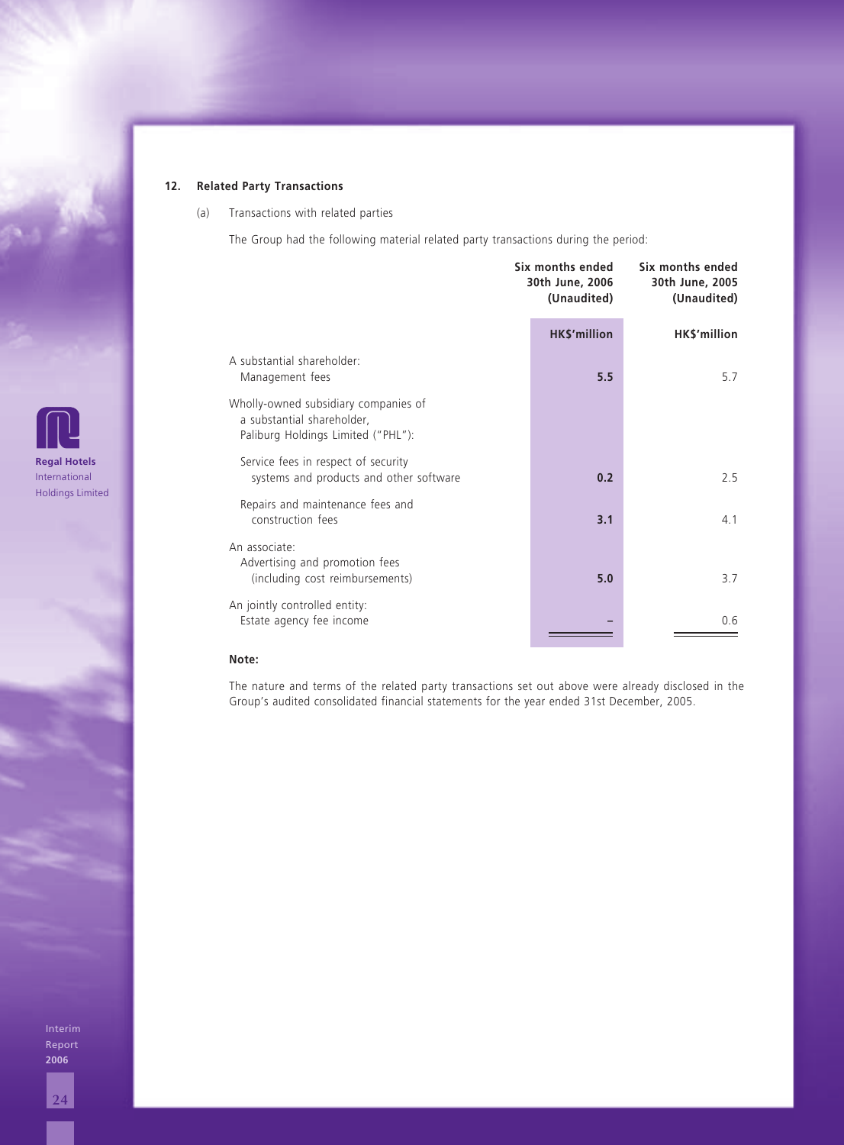## **12. Related Party Transactions**

(a) Transactions with related parties

The Group had the following material related party transactions during the period:

|                                                                                                          | Six months ended<br>30th June, 2006<br>(Unaudited) | Six months ended<br>30th June, 2005<br>(Unaudited) |  |
|----------------------------------------------------------------------------------------------------------|----------------------------------------------------|----------------------------------------------------|--|
|                                                                                                          | <b>HK\$'million</b>                                | HK\$'million                                       |  |
| A substantial shareholder:<br>Management fees                                                            | 5.5                                                | 5.7                                                |  |
| Wholly-owned subsidiary companies of<br>a substantial shareholder,<br>Paliburg Holdings Limited ("PHL"): |                                                    |                                                    |  |
| Service fees in respect of security<br>systems and products and other software                           | 0.2                                                | 2.5                                                |  |
| Repairs and maintenance fees and<br>construction fees                                                    | 3.1                                                | 4.1                                                |  |
| An associate:<br>Advertising and promotion fees<br>(including cost reimbursements)                       | 5.0                                                | 3.7                                                |  |
| An jointly controlled entity:<br>Estate agency fee income                                                |                                                    | 0.6                                                |  |

#### **Note:**

The nature and terms of the related party transactions set out above were already disclosed in the Group's audited consolidated financial statements for the year ended 31st December, 2005.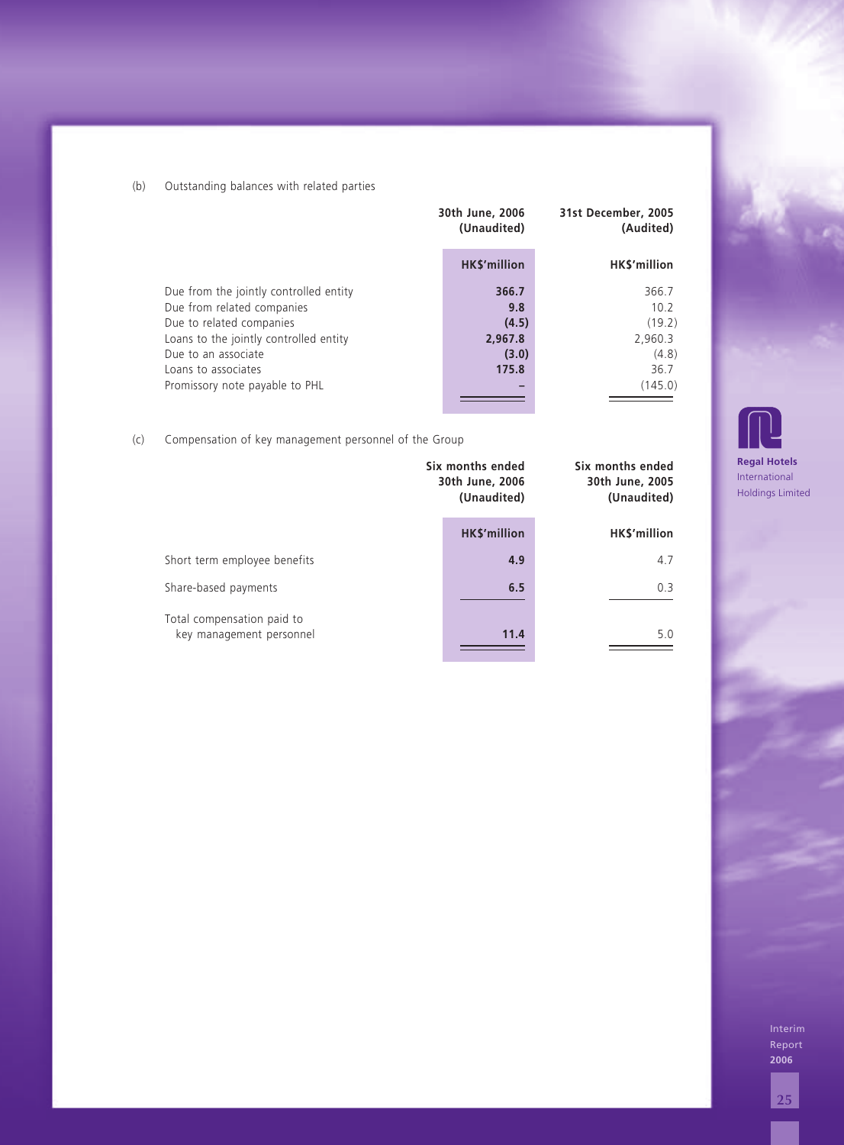| (b) | Outstanding balances with related parties                                                                                                                                                                                  |                                                    |                                                                |                                                           |
|-----|----------------------------------------------------------------------------------------------------------------------------------------------------------------------------------------------------------------------------|----------------------------------------------------|----------------------------------------------------------------|-----------------------------------------------------------|
|     |                                                                                                                                                                                                                            | 30th June, 2006<br>(Unaudited)                     | 31st December, 2005<br>(Audited)                               |                                                           |
|     |                                                                                                                                                                                                                            | HK\$'million                                       | HK\$'million                                                   |                                                           |
|     | Due from the jointly controlled entity<br>Due from related companies<br>Due to related companies<br>Loans to the jointly controlled entity<br>Due to an associate<br>Loans to associates<br>Promissory note payable to PHL | 366.7<br>9.8<br>(4.5)<br>2,967.8<br>(3.0)<br>175.8 | 366.7<br>10.2<br>(19.2)<br>2,960.3<br>(4.8)<br>36.7<br>(145.0) |                                                           |
| (c) | Compensation of key management personnel of the Group                                                                                                                                                                      |                                                    |                                                                |                                                           |
|     |                                                                                                                                                                                                                            | Six months ended<br>30th June, 2006<br>(Unaudited) | Six months ended<br>30th June, 2005<br>(Unaudited)             | <b>Regal Hotel</b><br>Internationa<br><b>Holdings Lin</b> |
|     |                                                                                                                                                                                                                            | HK\$'million                                       | HK\$'million                                                   |                                                           |
|     | Short term employee benefits                                                                                                                                                                                               | 4.9                                                | 4.7                                                            |                                                           |
|     | Share-based payments                                                                                                                                                                                                       | 6.5                                                | 0.3                                                            |                                                           |
|     | Total compensation paid to<br>key management personnel                                                                                                                                                                     | 11.4                                               | 5.0                                                            |                                                           |
|     |                                                                                                                                                                                                                            |                                                    |                                                                |                                                           |
|     |                                                                                                                                                                                                                            |                                                    |                                                                |                                                           |
|     |                                                                                                                                                                                                                            |                                                    |                                                                |                                                           |
|     |                                                                                                                                                                                                                            |                                                    |                                                                |                                                           |
|     |                                                                                                                                                                                                                            |                                                    |                                                                |                                                           |
|     |                                                                                                                                                                                                                            |                                                    |                                                                |                                                           |
|     |                                                                                                                                                                                                                            |                                                    |                                                                |                                                           |
|     |                                                                                                                                                                                                                            |                                                    |                                                                |                                                           |
|     |                                                                                                                                                                                                                            |                                                    |                                                                |                                                           |
|     |                                                                                                                                                                                                                            |                                                    |                                                                | Inter<br>Repo<br>2006                                     |
|     |                                                                                                                                                                                                                            |                                                    |                                                                | 25                                                        |

## (c) Compensation of key management personnel of the Group

|                                                        | Six months ended<br>30th June, 2006<br>(Unaudited) | Six months ended<br>30th June, 2005<br>(Unaudited) |  |
|--------------------------------------------------------|----------------------------------------------------|----------------------------------------------------|--|
|                                                        | <b>HK\$'million</b>                                | <b>HKS'million</b>                                 |  |
| Short term employee benefits                           | 4.9                                                | 4.7                                                |  |
| Share-based payments                                   | 6.5                                                | 0.3                                                |  |
| Total compensation paid to<br>key management personnel | 11.4                                               | 5.0                                                |  |

**Regal Hotels** International Holdings Limited

**2006**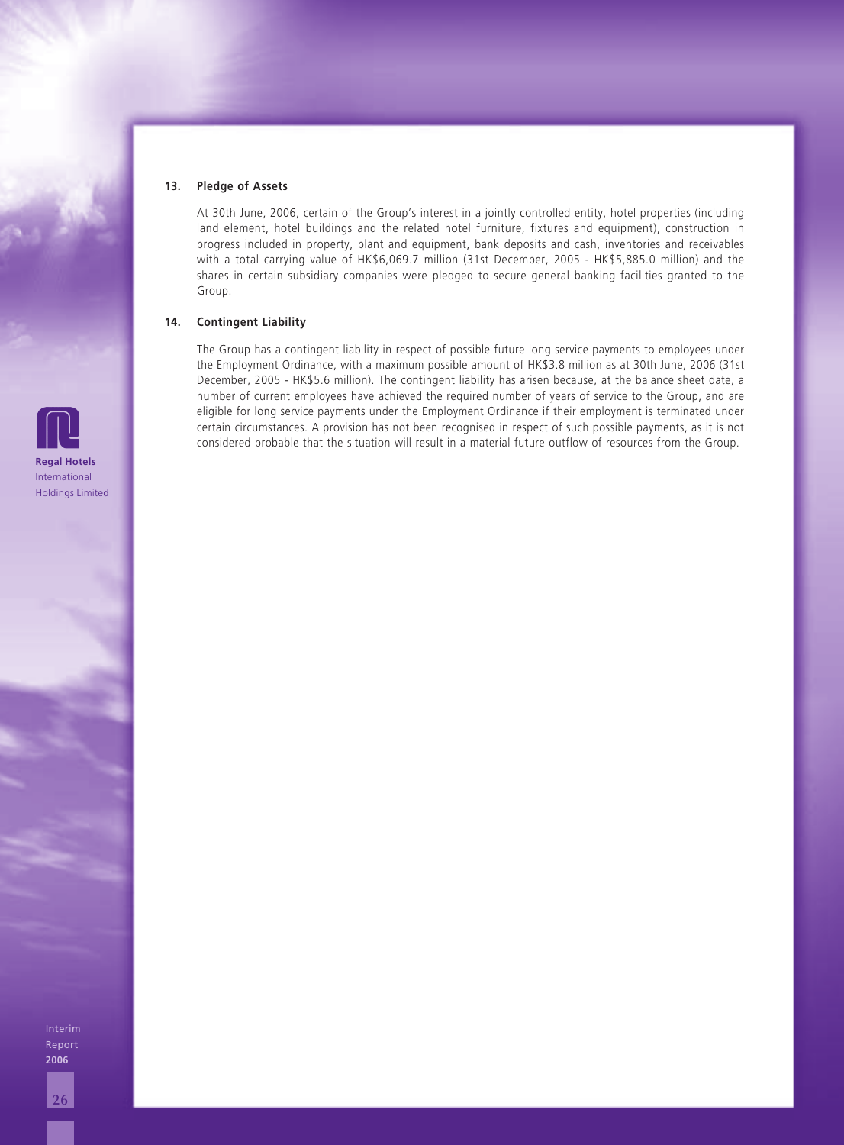#### **13. Pledge of Assets**

At 30th June, 2006, certain of the Group's interest in a jointly controlled entity, hotel properties (including land element, hotel buildings and the related hotel furniture, fixtures and equipment), construction in progress included in property, plant and equipment, bank deposits and cash, inventories and receivables with a total carrying value of HK\$6,069.7 million (31st December, 2005 - HK\$5,885.0 million) and the shares in certain subsidiary companies were pledged to secure general banking facilities granted to the Group.

#### **14. Contingent Liability**

The Group has a contingent liability in respect of possible future long service payments to employees under the Employment Ordinance, with a maximum possible amount of HK\$3.8 million as at 30th June, 2006 (31st December, 2005 - HK\$5.6 million). The contingent liability has arisen because, at the balance sheet date, a number of current employees have achieved the required number of years of service to the Group, and are eligible for long service payments under the Employment Ordinance if their employment is terminated under certain circumstances. A provision has not been recognised in respect of such possible payments, as it is not considered probable that the situation will result in a material future outflow of resources from the Group.

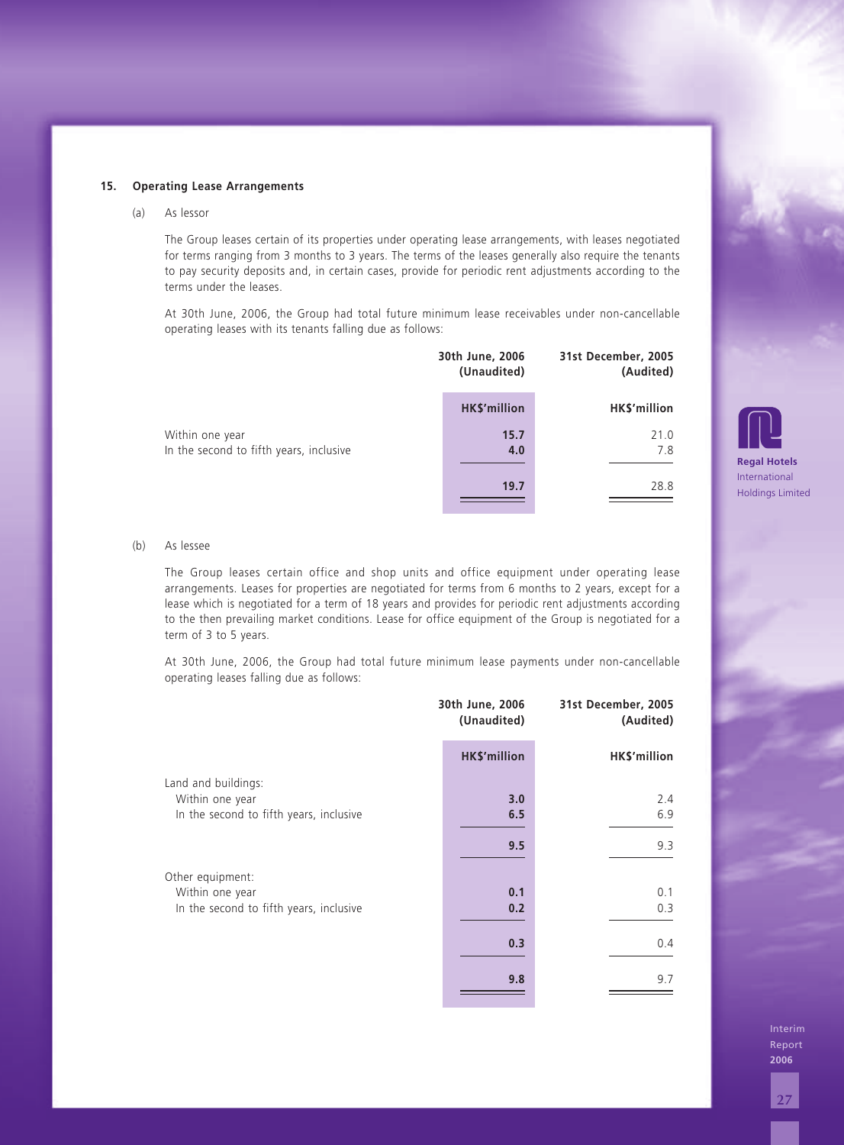#### (a) As lessor

|                                                            | 30th June, 2006<br>(Unaudited) | 31st December, 2005<br>(Audited) |  |
|------------------------------------------------------------|--------------------------------|----------------------------------|--|
|                                                            | <b>HK\$'million</b>            | HK\$'million                     |  |
| Within one year<br>In the second to fifth years, inclusive | 15.7<br>4.0                    | 21.0<br>7.8                      |  |
|                                                            | 19.7                           | 28.8                             |  |

#### (b) As lessee

| 15. |     | <b>Operating Lease Arrangements</b>                                                                                                                                                                                                                                                                                                                                                                                                         |                                |                                  |                                    |  |  |  |
|-----|-----|---------------------------------------------------------------------------------------------------------------------------------------------------------------------------------------------------------------------------------------------------------------------------------------------------------------------------------------------------------------------------------------------------------------------------------------------|--------------------------------|----------------------------------|------------------------------------|--|--|--|
|     | (a) | As lessor                                                                                                                                                                                                                                                                                                                                                                                                                                   |                                |                                  |                                    |  |  |  |
|     |     | The Group leases certain of its properties under operating lease arrangements, with leases negotiated<br>for terms ranging from 3 months to 3 years. The terms of the leases generally also require the tenants<br>to pay security deposits and, in certain cases, provide for periodic rent adjustments according to the<br>terms under the leases.                                                                                        |                                |                                  |                                    |  |  |  |
|     |     | At 30th June, 2006, the Group had total future minimum lease receivables under non-cancellable<br>operating leases with its tenants falling due as follows:                                                                                                                                                                                                                                                                                 |                                |                                  |                                    |  |  |  |
|     |     |                                                                                                                                                                                                                                                                                                                                                                                                                                             | 30th June, 2006<br>(Unaudited) | 31st December, 2005<br>(Audited) |                                    |  |  |  |
|     |     |                                                                                                                                                                                                                                                                                                                                                                                                                                             | HK\$'million                   | HK\$'million                     |                                    |  |  |  |
|     |     | Within one year<br>In the second to fifth years, inclusive                                                                                                                                                                                                                                                                                                                                                                                  | 15.7<br>4.0                    | 21.0<br>7.8                      |                                    |  |  |  |
|     |     |                                                                                                                                                                                                                                                                                                                                                                                                                                             |                                |                                  | <b>Regal Hotel</b><br>Internationa |  |  |  |
|     |     |                                                                                                                                                                                                                                                                                                                                                                                                                                             | 19.7                           | 28.8                             | <b>Holdings Lim</b>                |  |  |  |
|     | (b) | As lessee                                                                                                                                                                                                                                                                                                                                                                                                                                   |                                |                                  |                                    |  |  |  |
|     |     | The Group leases certain office and shop units and office equipment under operating lease<br>arrangements. Leases for properties are negotiated for terms from 6 months to 2 years, except for a<br>lease which is negotiated for a term of 18 years and provides for periodic rent adjustments according<br>to the then prevailing market conditions. Lease for office equipment of the Group is negotiated for a<br>term of 3 to 5 years. |                                |                                  |                                    |  |  |  |
|     |     | At 30th June, 2006, the Group had total future minimum lease payments under non-cancellable<br>operating leases falling due as follows:                                                                                                                                                                                                                                                                                                     |                                |                                  |                                    |  |  |  |
|     |     |                                                                                                                                                                                                                                                                                                                                                                                                                                             | 30th June, 2006<br>(Unaudited) | 31st December, 2005<br>(Audited) |                                    |  |  |  |
|     |     |                                                                                                                                                                                                                                                                                                                                                                                                                                             | HK\$'million                   | HK\$'million                     |                                    |  |  |  |
|     |     | Land and buildings:<br>Within one year                                                                                                                                                                                                                                                                                                                                                                                                      | 3.0                            | 2.4                              |                                    |  |  |  |
|     |     | In the second to fifth years, inclusive                                                                                                                                                                                                                                                                                                                                                                                                     | 6.5                            | 6.9                              |                                    |  |  |  |
|     |     |                                                                                                                                                                                                                                                                                                                                                                                                                                             | 9.5                            | 9.3                              |                                    |  |  |  |
|     |     | Other equipment:                                                                                                                                                                                                                                                                                                                                                                                                                            |                                |                                  |                                    |  |  |  |
|     |     | Within one year<br>In the second to fifth years, inclusive                                                                                                                                                                                                                                                                                                                                                                                  | 0.1<br>0.2                     | 0.1<br>0.3                       |                                    |  |  |  |
|     |     |                                                                                                                                                                                                                                                                                                                                                                                                                                             | 0.3                            | 0.4                              |                                    |  |  |  |
|     |     |                                                                                                                                                                                                                                                                                                                                                                                                                                             | 9.8                            | 9.7                              |                                    |  |  |  |
|     |     |                                                                                                                                                                                                                                                                                                                                                                                                                                             |                                |                                  |                                    |  |  |  |
|     |     |                                                                                                                                                                                                                                                                                                                                                                                                                                             |                                |                                  | Inter                              |  |  |  |
|     |     |                                                                                                                                                                                                                                                                                                                                                                                                                                             |                                |                                  | Repo<br>2006                       |  |  |  |
|     |     |                                                                                                                                                                                                                                                                                                                                                                                                                                             |                                |                                  | 27                                 |  |  |  |
|     |     |                                                                                                                                                                                                                                                                                                                                                                                                                                             |                                |                                  |                                    |  |  |  |

Interim Report **2006**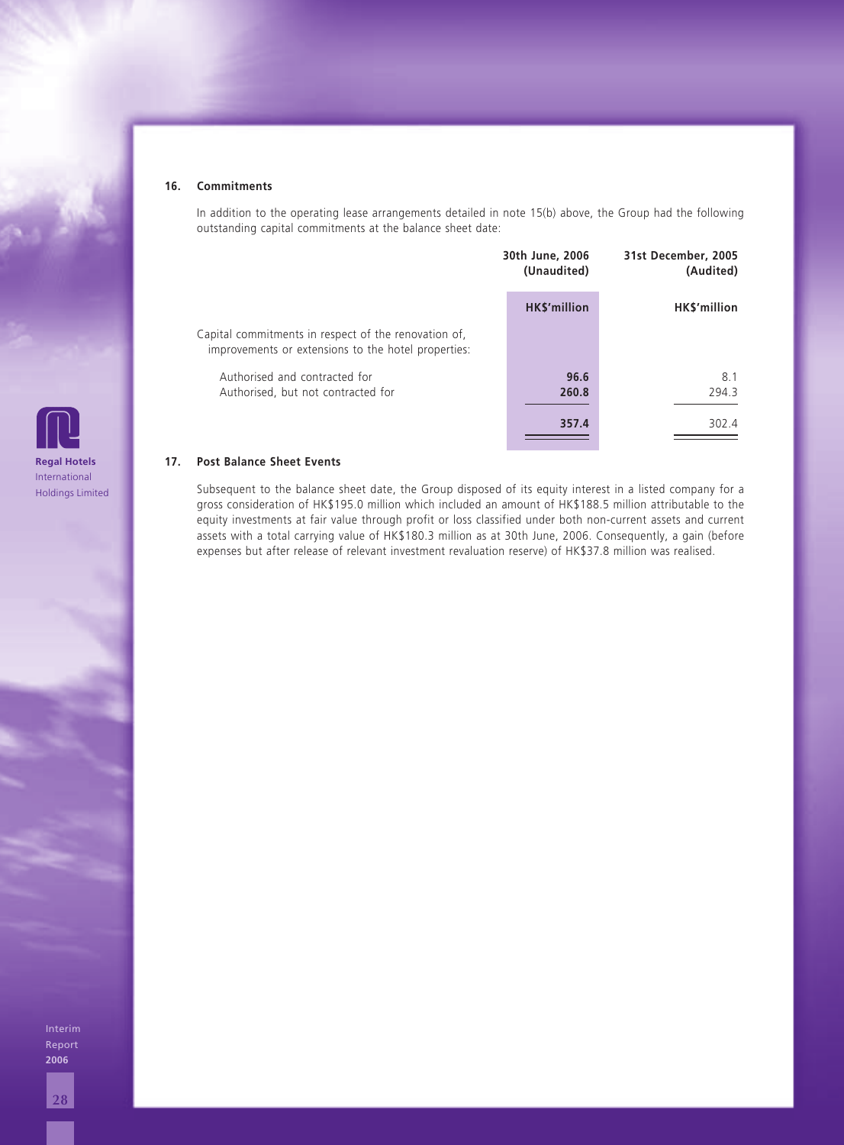#### **16. Commitments**

In addition to the operating lease arrangements detailed in note 15(b) above, the Group had the following outstanding capital commitments at the balance sheet date:

|                                                                                                             | 30th June, 2006<br>(Unaudited) | 31st December, 2005<br>(Audited) |  |
|-------------------------------------------------------------------------------------------------------------|--------------------------------|----------------------------------|--|
|                                                                                                             | HK\$'million                   | HK\$'million                     |  |
| Capital commitments in respect of the renovation of,<br>improvements or extensions to the hotel properties: |                                |                                  |  |
| Authorised and contracted for<br>Authorised, but not contracted for                                         | 96.6<br>260.8                  | 8.1<br>294.3                     |  |
|                                                                                                             | 357.4                          | 302.4                            |  |

#### **17. Post Balance Sheet Events**

Subsequent to the balance sheet date, the Group disposed of its equity interest in a listed company for a gross consideration of HK\$195.0 million which included an amount of HK\$188.5 million attributable to the equity investments at fair value through profit or loss classified under both non-current assets and current assets with a total carrying value of HK\$180.3 million as at 30th June, 2006. Consequently, a gain (before expenses but after release of relevant investment revaluation reserve) of HK\$37.8 million was realised.

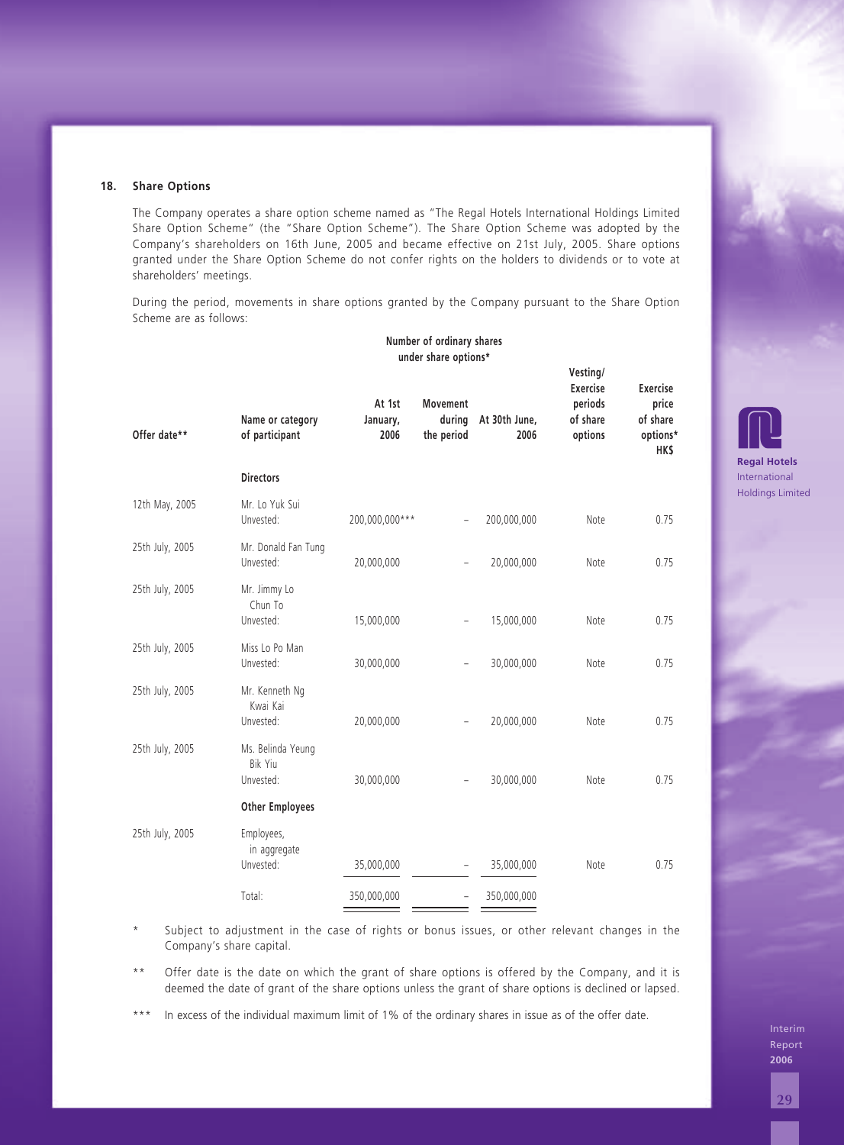| Scheme are as follows: | During the period, movements in share options granted by the Company pursuant to the Share Option                                                                                                         |                            |                                                   |                              |                                                               |                                                                |                                    |
|------------------------|-----------------------------------------------------------------------------------------------------------------------------------------------------------------------------------------------------------|----------------------------|---------------------------------------------------|------------------------------|---------------------------------------------------------------|----------------------------------------------------------------|------------------------------------|
|                        |                                                                                                                                                                                                           |                            | Number of ordinary shares<br>under share options* |                              |                                                               |                                                                |                                    |
| Offer date**           | Name or category<br>of participant                                                                                                                                                                        | At 1st<br>January,<br>2006 | Movement<br>the period                            | during At 30th June,<br>2006 | Vesting/<br><b>Exercise</b><br>periods<br>of share<br>options | <b>Exercise</b><br>price<br>of share<br>options*<br><b>HKS</b> |                                    |
|                        | <b>Directors</b>                                                                                                                                                                                          |                            |                                                   |                              |                                                               |                                                                | <b>Regal Hotel</b><br>Internationa |
| 12th May, 2005         | Mr. Lo Yuk Sui<br>Unvested:                                                                                                                                                                               | 200,000,000***             |                                                   | 200,000,000                  | Note                                                          | 0.75                                                           | <b>Holdings Lim</b>                |
| 25th July, 2005        | Mr. Donald Fan Tung<br>Unvested:                                                                                                                                                                          | 20,000,000                 |                                                   | 20,000,000                   | Note                                                          | 0.75                                                           |                                    |
| 25th July, 2005        | Mr. Jimmy Lo<br>Chun To<br>Unvested:                                                                                                                                                                      | 15,000,000                 |                                                   | 15,000,000                   | Note                                                          | 0.75                                                           |                                    |
| 25th July, 2005        | Miss Lo Po Man<br>Unvested:                                                                                                                                                                               | 30,000,000                 |                                                   | 30,000,000                   | Note                                                          | 0.75                                                           |                                    |
| 25th July, 2005        | Mr. Kenneth Ng<br>Kwai Kai<br>Unvested:                                                                                                                                                                   | 20,000,000                 |                                                   | 20,000,000                   | Note                                                          | 0.75                                                           |                                    |
| 25th July, 2005        | Ms. Belinda Yeung<br>Bik Yiu<br>Unvested:                                                                                                                                                                 | 30,000,000                 |                                                   | 30,000,000                   | Note                                                          | 0.75                                                           |                                    |
|                        | <b>Other Employees</b>                                                                                                                                                                                    |                            |                                                   |                              |                                                               |                                                                |                                    |
| 25th July, 2005        | Employees,<br>in aggregate<br>Unvested:                                                                                                                                                                   | 35,000,000                 |                                                   | 35,000,000                   | Note                                                          | 0.75                                                           |                                    |
|                        | Total:                                                                                                                                                                                                    | 350,000,000                |                                                   | 350,000,000                  |                                                               |                                                                |                                    |
| $^\star$               | Subject to adjustment in the case of rights or bonus issues, or other relevant changes in the<br>Company's share capital.                                                                                 |                            |                                                   |                              |                                                               |                                                                |                                    |
| $\star$ $\star$        | Offer date is the date on which the grant of share options is offered by the Company, and it is<br>deemed the date of grant of the share options unless the grant of share options is declined or lapsed. |                            |                                                   |                              |                                                               |                                                                |                                    |

**Regal Hotels** International Holdings Limited